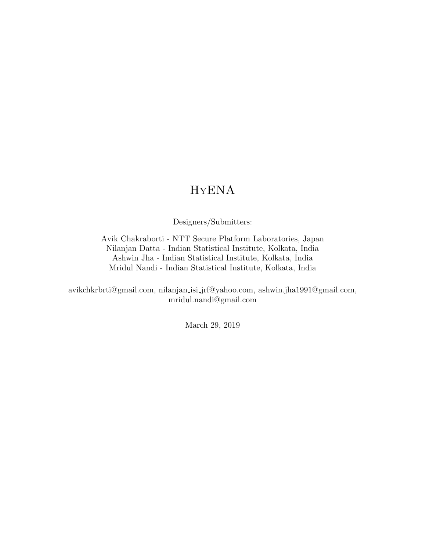## HyENA

Designers/Submitters:

<span id="page-0-0"></span>Avik Chakraborti - NTT Secure Platform Laboratories, Japan Nilanjan Datta - Indian Statistical Institute, Kolkata, India Ashwin Jha - Indian Statistical Institute, Kolkata, India Mridul Nandi - Indian Statistical Institute, Kolkata, India

avikchkrbrti@gmail.com, nilanjan isi jrf@yahoo.com, ashwin.jha1991@gmail.com, mridul.nandi@gmail.com

March 29, 2019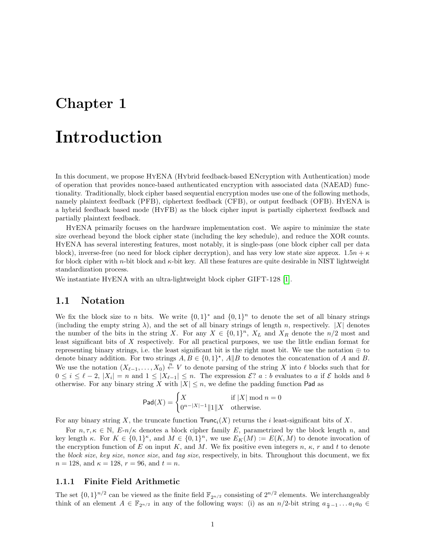## Introduction

In this document, we propose HyENA (Hybrid feedback-based ENcryption with Authentication) mode of operation that provides nonce-based authenticated encryption with associated data (NAEAD) functionality. Traditionally, block cipher based sequential encryption modes use one of the following methods, namely plaintext feedback (PFB), ciphertext feedback (CFB), or output feedback (OFB). HYENA is a hybrid feedback based mode (HyFB) as the block cipher input is partially ciphertext feedback and partially plaintext feedback.

HyENA primarily focuses on the hardware implementation cost. We aspire to minimize the state size overhead beyond the block cipher state (including the key schedule), and reduce the XOR counts. HyENA has several interesting features, most notably, it is single-pass (one block cipher call per data block), inverse-free (no need for block cipher decryption), and has very low state size approx.  $1.5n + \kappa$ for block cipher with n-bit block and  $\kappa$ -bit key. All these features are quite desirable in NIST lightweight standardization process.

We instantiate HYENA with an ultra-lightweight block cipher GIFT-128 [\[1\]](#page-11-0).

#### 1.1 Notation

We fix the block size to n bits. We write  $\{0,1\}^*$  and  $\{0,1\}^n$  to denote the set of all binary strings (including the empty string  $\lambda$ ), and the set of all binary strings of length n, respectively. |X| denotes the number of the bits in the string X. For any  $X \in \{0,1\}^n$ ,  $X_L$  and  $X_R$  denote the  $n/2$  most and least significant bits of X respectively. For all practical purposes, we use the little endian format for representing binary strings, i.e. the least significant bit is the right most bit. We use the notation  $oplus$  to denote binary addition. For two strings  $A, B \in \{0,1\}^*, A \| B$  to denotes the concatenation of A and B. We use the notation  $(X_{\ell-1},...,X_0) \stackrel{n}{\leftarrow} V$  to denote parsing of the string X into  $\ell$  blocks such that for  $0 \leq i \leq \ell - 2$ ,  $|X_i| = n$  and  $1 \leq |X_{\ell-1}| \leq n$ . The expression  $\mathcal{E}$ ?  $a : b$  evaluates to a if  $\mathcal{E}$  holds and b otherwise. For any binary string X with  $|X| \leq n$ , we define the padding function Pad as

$$
\mathsf{Pad}(X) = \begin{cases} X & \text{if } |X| \bmod n = 0\\ 0^{n-|X|-1} \|1\| X & \text{otherwise.} \end{cases}
$$

For any binary string X, the truncate function  $Trunc_i(X)$  returns the i least-significant bits of X.

For  $n, \tau, \kappa \in \mathbb{N}$ ,  $E-n/\kappa$  denotes a block cipher family E, parametrized by the block length n, and key length  $\kappa$ . For  $K \in \{0,1\}^{\kappa}$ , and  $M \in \{0,1\}^n$ , we use  $E_K(M) := E(K,M)$  to denote invocation of the encryption function of E on input K, and M. We fix positive even integers  $n, \kappa, r$  and t to denote the block size, key size, nonce size, and tag size, respectively, in bits. Throughout this document, we fix  $n = 128$ , and  $\kappa = 128$ ,  $r = 96$ , and  $t = n$ .

#### 1.1.1 Finite Field Arithmetic

The set  $\{0,1\}^{n/2}$  can be viewed as the finite field  $\mathbb{F}_{2^{n/2}}$  consisting of  $2^{n/2}$  elements. We interchangeably think of an element  $A \in \mathbb{F}_{2^{n/2}}$  in any of the following ways: (i) as an  $n/2$ -bit string  $a_{\frac{n}{2}-1} \dots a_1 a_0 \in$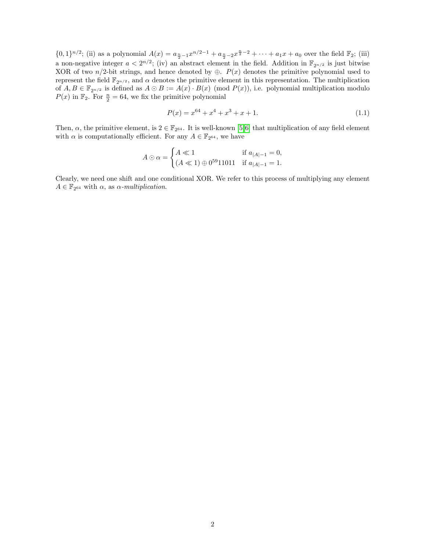$\{0,1\}^{n/2}$ ; (ii) as a polynomial  $A(x) = a_{\frac{n}{2}-1}x^{n/2-1} + a_{\frac{n}{2}-2}x^{\frac{n}{2}-2} + \cdots + a_1x + a_0$  over the field  $\mathbb{F}_2$ ; (iii) a non-negative integer  $a < 2^{n/2}$ ; (iv) an abstract element in the field. Addition in  $\mathbb{F}_{2^{n/2}}$  is just bitwise XOR of two  $n/2$ -bit strings, and hence denoted by ⊕.  $P(x)$  denotes the primitive polynomial used to represent the field  $\mathbb{F}_{2^{n/2}}$ , and  $\alpha$  denotes the primitive element in this representation. The multiplication of  $A, B \in \mathbb{F}_{2^{n/2}}$  is defined as  $A \odot B := A(x) \cdot B(x) \pmod{P(x)}$ , i.e. polynomial multiplication modulo  $P(x)$  in  $\mathbb{F}_2$ . For  $\frac{n}{2} = 64$ , we fix the primitive polynomial

$$
P(x) = x^{64} + x^4 + x^3 + x + 1.
$$
\n(1.1)

Then,  $\alpha$ , the primitive element, is  $2 \in \mathbb{F}_{2^{64}}$ . It is well-known [\[5,](#page-11-1)[6\]](#page-11-2) that multiplication of any field element with  $\alpha$  is computationally efficient. For any  $A \in \mathbb{F}_{2^{64}}$ , we have

$$
A \odot \alpha = \begin{cases} A \ll 1 & \text{if } a_{|A|-1} = 0, \\ (A \ll 1) \oplus 0^{59} 11011 & \text{if } a_{|A|-1} = 1. \end{cases}
$$

Clearly, we need one shift and one conditional XOR. We refer to this process of multiplying any element  $A \in \mathbb{F}_{2^{64}}$  with  $\alpha$ , as  $\alpha$ -multiplication.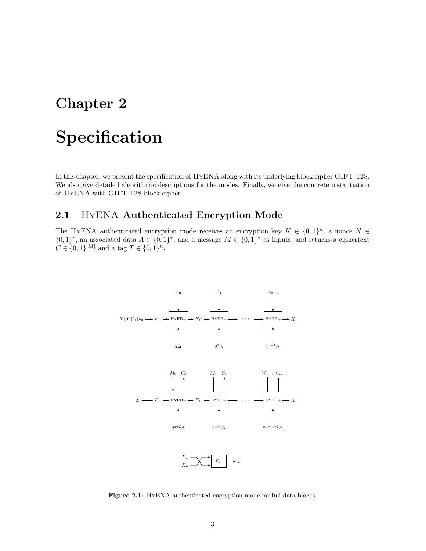# Specification

In this chapter, we present the specification of HyENA along with its underlying block cipher GIFT-128. We also give detailed algorithmic descriptions for the modes. Finally, we give the concrete instantiation of HyENA with GIFT-128 block cipher.

### 2.1 HyENA Authenticated Encryption Mode

<span id="page-3-0"></span>The HYENA authenticated encryption mode receives an encryption key  $K \in \{0,1\}^{\kappa}$ , a nonce  $N \in$  $\{0,1\}^r$ , an associated data  $A \in \{0,1\}^*$ , and a message  $M \in \{0,1\}^*$  as inputs, and returns a ciphertext  $C \in \{0,1\}^{|M|}$  and a tag  $T \in \{0,1\}^n$ .



Figure 2.1: HYENA authenticated encryption mode for full data blocks.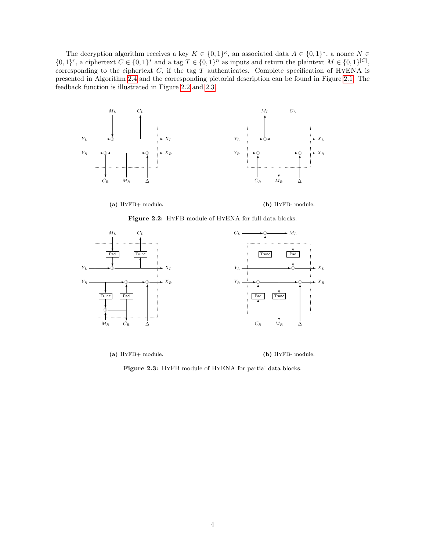The decryption algorithm receives a key  $K \in \{0,1\}^{\kappa}$ , an associated data  $A \in \{0,1\}^*$ , a nonce  $N \in \{0,1\}^*$  $\{0,1\}^r$ , a ciphertext  $C \in \{0,1\}^*$  and a tag  $T \in \{0,1\}^n$  as inputs and return the plaintext  $M \in \{0,1\}^{|C|}$ , corresponding to the ciphertext  $C$ , if the tag  $T$  authenticates. Complete specification of HYENA is presented in Algorithm [2.4](#page-5-0) and the corresponding pictorial description can be found in Figure [2.1.](#page-3-0) The feedback function is illustrated in Figure [2.2](#page-4-0) and [2.3.](#page-4-1)

<span id="page-4-0"></span>

(a) HyFB+ module.



Figure 2.2: HYFB module of HYENA for full data blocks.

<span id="page-4-1"></span>

(a) HyFB+ module. (b) HyFB- module.

Figure 2.3: HyFB module of HyENA for partial data blocks.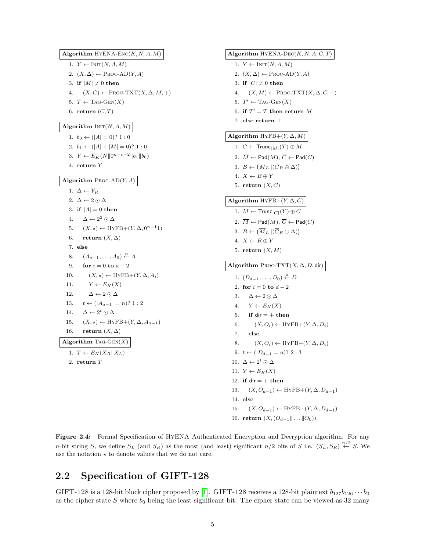<span id="page-5-0"></span>Algorithm  $HYENA-Enc(K, N, A, M)$ 1.  $Y \leftarrow \text{INIT}(N, A, M)$ 2.  $(X, \Delta) \leftarrow \text{Proc-AD}(Y, A)$ 3. if  $|M| \neq 0$  then 4.  $(X, C) \leftarrow \text{PROC-TXT}(X, \Delta, M, +)$ 5.  $T \leftarrow \text{TAG-GEN}(X)$ 6. return  $(C, T)$ Algorithm  $INT(N, A, M)$ 1.  $b_0 \leftarrow (|A| = 0)$ ? 1 : 0 2.  $b_1 \leftarrow (|A| + |M| = 0)$ ? 1 : 0 3.  $Y \leftarrow E_K(N||0^{n-r-2}||b_1||b_0)$ 4. return Y Algorithm  $PROC-AD(Y, A)$ 1.  $\Delta \leftarrow Y_R$ 2.  $\Delta \leftarrow 2 \odot \Delta$ 3. if  $|A| = 0$  then 4.  $\Delta \leftarrow 2^2 \odot \Delta$ 5.  $(X, \star) \leftarrow \text{HyFB} + (Y, \Delta, 0^{n-1}1)$ 6. return  $(X, \Delta)$ 7. else 8.  $(A_{a-1},\ldots,A_0)\overset{n}{\leftarrow}A$ 9. for  $i = 0$  to  $a - 2$ 10.  $(X, \star) \leftarrow \text{HYFB} + (Y, \Delta, A_i)$ 11.  $Y \leftarrow E_K(X)$ 12.  $\Delta \leftarrow 2 \odot \Delta$ 13.  $t \leftarrow (|A_{a-1}| = n)$ ? 1 : 2 14.  $\Delta \leftarrow 2^t \odot \Delta$ 15.  $(X, \star) \leftarrow \text{HyFB} + (Y, \Delta, A_{a-1})$ 16. return  $(X, \Delta)$ Algorithm TAG- $GEN(X)$ 1.  $T \leftarrow E_K(X_R||X_L)$ 2. return T

Algorithm  $HYENA-DEC(K, N, A, C, T)$ 1.  $Y \leftarrow \text{INIT}(N, A, M)$ 2.  $(X, \Delta) \leftarrow \text{Proc-AD}(Y, A)$ 3. if  $|C| \neq 0$  then 4.  $(X, M) \leftarrow \text{PROC-TXT}(X, \Delta, C, -)$ 5.  $T' \leftarrow \text{TAG-GEN}(X)$ 6. if  $T' = T$  then return M 7. else return ⊥ Algorithm  $HYFB+(Y,\Delta,M)$ 1.  $C \leftarrow \mathsf{Trunc}_{|M|}(Y) \oplus M$ 2.  $\overline{M} \leftarrow \text{Pad}(M), \overline{C} \leftarrow \text{Pad}(C)$ 3.  $B \leftarrow (\overline{M}_L || (\overline{C}_R \oplus \Delta))$ 4.  $X \leftarrow B \oplus Y$ 5. return  $(X, C)$ Algorithm HYFB $-(Y, \Delta, C)$ 1.  $M \leftarrow \mathsf{Trunc}_{|C|}(Y) \oplus C$ 2.  $\overline{M} \leftarrow \text{Pad}(M), \overline{C} \leftarrow \text{Pad}(C)$ 3.  $B \leftarrow (\overline{M}_L || (\overline{C}_R \oplus \Delta))$ 4.  $X \leftarrow B \oplus Y$ 5. return  $(X, M)$ Algorithm PROC-TXT $(X, \Delta, D,$ dir) 1.  $(D_{d-1},...,D_0) \stackrel{n}{\leftarrow} D$ 2. for  $i = 0$  to  $d - 2$ 3.  $\Delta \leftarrow 2 \odot \Delta$ 4.  $Y \leftarrow E_K(X)$ 5. if dir  $= +$  then 6.  $(X, O_i) \leftarrow \text{HYFB} + (Y, \Delta, D_i)$ 7. else 8.  $(X, O_i) \leftarrow \text{HYFB}-(Y, \Delta, D_i)$ 9.  $t \leftarrow (|D_{d-1} = n$ ? 2 : 3 10.  $\Delta \leftarrow 2^t \odot \Delta$ 11.  $Y \leftarrow E_K(X)$ 12. if dir  $= +$  then 13.  $(X, O_{d-1}) \leftarrow \text{HYFB} + (Y, \Delta, D_{d-1})$ 14. else 15.  $(X, O_{d-1}) \leftarrow \text{HYFB}-(Y, \Delta, D_{d-1})$ 16. return  $(X, (O_{d-1} \| \dots \| O_0))$ 

Figure 2.4: Formal Specification of HYENA Authenticated Encryption and Decryption algorithm. For any n-bit string S, we define  $S_L$  (and  $S_R$ ) as the most (and least) significant  $n/2$  bits of S i.e.  $(S_L, S_R) \stackrel{n/2}{\leftarrow} S$ . We use the notation  $\star$  to denote values that we do not care.

### 2.2 Specification of GIFT-128

GIFT-128 is a 128-bit block cipher proposed by [\[1\]](#page-11-0). GIFT-128 receives a 128-bit plaintext  $b_{127}b_{126}\cdots b_0$ as the cipher state S where  $b_0$  being the least significant bit. The cipher state can be viewed as 32 many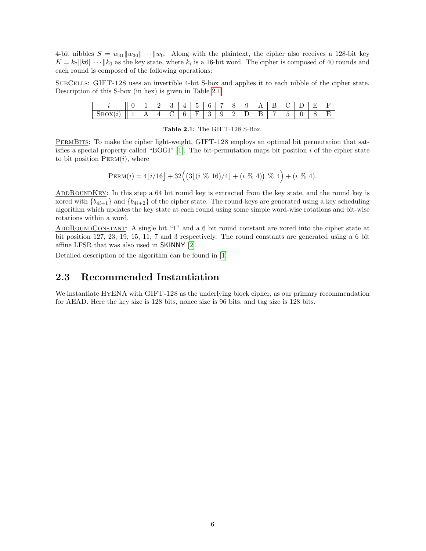4-bit nibbles  $S = w_{31}||w_{30}|| \cdots ||w_0$ . Along with the plaintext, the cipher also receives a 128-bit key  $K = k_7 ||k_6|| \cdots ||k_0$  as the key state, where  $k_i$  is a 16-bit word. The cipher is composed of 40 rounds and each round is composed of the following operations:

<span id="page-6-0"></span>SubCells: GIFT-128 uses an invertible 4-bit S-box and applies it to each nibble of the cipher state. Description of this S-box (in hex) is given in Table [2.1.](#page-6-0)

|             |   |     | -<br>. .<br>— | <b>A</b>    | <b>.</b> | $\overline{\phantom{a}}$<br>◡        | $\sim$ | -  |   |        | . .    | $\overline{\phantom{a}}$ | ∼<br>∼ | _<br>- | -<br>-<br>$\overline{\phantom{0}}$ | $\overline{\phantom{0}}$ |
|-------------|---|-----|---------------|-------------|----------|--------------------------------------|--------|----|---|--------|--------|--------------------------|--------|--------|------------------------------------|--------------------------|
| $\sim$<br>╌ | ᅩ | . . | <b>.</b><br>- | $\sim$<br>v | ÷<br>ິ   | $\overline{\phantom{a}}$<br><b>.</b> | ບ      | ره | - | -<br>- | -<br>— |                          | ٠      |        |                                    | $\overline{\phantom{0}}$ |

Table 2.1: The GIFT-128 S-Box.

PermBits: To make the cipher light-weight, GIFT-128 employs an optimal bit permutation that satisfies a special property called "BOGI"  $[1]$ . The bit-permutation maps bit position i of the cipher state to bit position  $PERM(i)$ , where

$$
PERM(i) = 4[i/16] + 32((3[(i \ % 16)/4] + (i \ % 4)) \ % \ 4 + (i \ % 4).
$$

ADDROUNDKEY: In this step a 64 bit round key is extracted from the key state, and the round key is xored with  ${b_{4i+1}}$  and  ${b_{4i+2}}$  of the cipher state. The round-keys are generated using a key scheduling algorithm which updates the key state at each round using some simple word-wise rotations and bit-wise rotations within a word.

ADDROUNDCONSTANT: A single bit "1" and a 6 bit round constant are xored into the cipher state at bit position 127, 23, 19, 15, 11, 7 and 3 respectively. The round constants are generated using a 6 bit affine LFSR that was also used in SKINNY [\[2\]](#page-11-3).

Detailed description of the algorithm can be found in [\[1\]](#page-11-0).

#### 2.3 Recommended Instantiation

We instantiate HYENA with GIFT-128 as the underlying block cipher, as our primary recommendation for AEAD. Here the key size is 128 bits, nonce size is 96 bits, and tag size is 128 bits.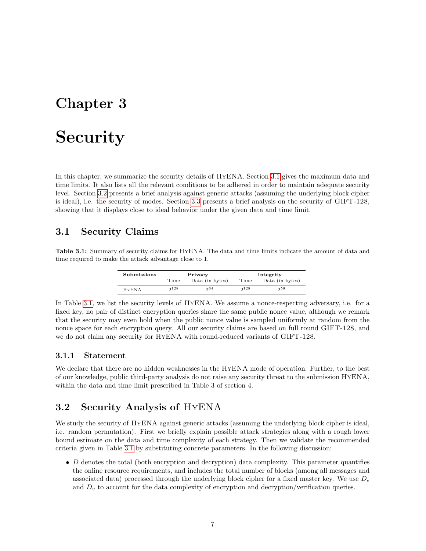## **Security**

In this chapter, we summarize the security details of HyENA. Section [3.1](#page-7-0) gives the maximum data and time limits. It also lists all the relevant conditions to be adhered in order to maintain adequate security level. Section [3.2](#page-7-1) presents a brief analysis against generic attacks (assuming the underlying block cipher is ideal), i.e. the security of modes. Section [3.3](#page-9-0) presents a brief analysis on the security of GIFT-128, showing that it displays close to ideal behavior under the given data and time limit.

### <span id="page-7-0"></span>3.1 Security Claims

<span id="page-7-2"></span>Table 3.1: Summary of security claims for HyENA. The data and time limits indicate the amount of data and time required to make the attack advantage close to 1.

| Submissions   |           | Privacy         | Integrity |                 |  |  |
|---------------|-----------|-----------------|-----------|-----------------|--|--|
|               | Time      | Data (in bytes) | Time      | Data (in bytes) |  |  |
| <b>H</b> YENA | $2^{128}$ | 004             | 228       | 258             |  |  |

In Table [3.1,](#page-7-2) we list the security levels of HyENA. We assume a nonce-respecting adversary, i.e. for a fixed key, no pair of distinct encryption queries share the same public nonce value, although we remark that the security may even hold when the public nonce value is sampled uniformly at random from the nonce space for each encryption query. All our security claims are based on full round GIFT-128, and we do not claim any security for HyENA with round-reduced variants of GIFT-128.

#### 3.1.1 Statement

We declare that there are no hidden weaknesses in the HYENA mode of operation. Further, to the best of our knowledge, public third-party analysis do not raise any security threat to the submission HyENA, within the data and time limit prescribed in Table 3 of section 4.

### <span id="page-7-1"></span>3.2 Security Analysis of HyENA

We study the security of HYENA against generic attacks (assuming the underlying block cipher is ideal, i.e. random permutation). First we briefly explain possible attack strategies along with a rough lower bound estimate on the data and time complexity of each strategy. Then we validate the recommended criteria given in Table [3.1](#page-7-2) by substituting concrete parameters. In the following discussion:

 $\bullet$  D denotes the total (both encryption and decryption) data complexity. This parameter quantifies the online resource requirements, and includes the total number of blocks (among all messages and associated data) processed through the underlying block cipher for a fixed master key. We use  $D_e$ and  $D<sub>v</sub>$  to account for the data complexity of encryption and decryption/verification queries.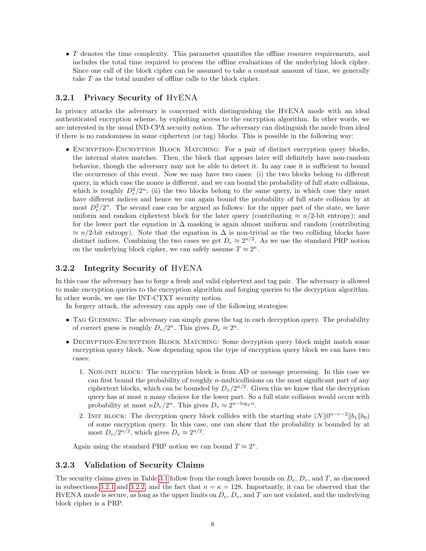• T denotes the time complexity. This parameter quantifies the offline resource requirements, and includes the total time required to process the offline evaluations of the underlying block cipher. Since one call of the block cipher can be assumed to take a constant amount of time, we generally take T as the total number of offline calls to the block cipher.

#### <span id="page-8-0"></span>3.2.1 Privacy Security of HyENA

In privacy attacks the adversary is concerned with distinguishing the HyENA mode with an ideal authenticated encryption scheme, by exploiting access to the encryption algorithm. In other words, we are interested in the usual IND-CPA security notion. The adversary can distinguish the mode from ideal if there is no randomness in some ciphertext (or tag) blocks. This is possible in the following way:

• ENCRYPTION-ENCRYPTION BLOCK MATCHING: For a pair of distinct encryption query blocks, the internal states matches. Then, the block that appears later will definitely have non-random behavior, though the adversary may not be able to detect it. In any case it is sufficient to bound the occurrence of this event. Now we may have two cases: (i) the two blocks belong to different query, in which case the nonce is different, and we can bound the probability of full state collisions, which is roughly  $D_e^2/2^n$ ; (ii) the two blocks belong to the same query, in which case they must have different indices and hence we can again bound the probability of full state collision by at most  $D_e^2/2^n$ . The second case can be argued as follows: for the upper part of the state, we have uniform and random ciphertext block for the later query (contributing  $\approx n/2$ -bit entropy); and for the lower part the equation in  $\Delta$  masking is again almost uniform and random (contributing  $\approx n/2$ -bit entropy). Note that the equation in  $\Delta$  is non-trivial as the two colliding blocks have distinct indices. Combining the two cases we get  $D_e \approx 2^{n/2}$ . As we use the standard PRP notion on the underlying block cipher, we can safely assume  $T \approx 2^{\kappa}$ .

#### <span id="page-8-1"></span>3.2.2 Integrity Security of HyENA

In this case the adversary has to forge a fresh and valid ciphertext and tag pair. The adversary is allowed to make encryption queries to the encryption algorithm and forging queries to the decryption algorithm. In other words, we use the INT-CTXT security notion.

In forgery attack, the adversary can apply one of the following strategies:

- TAG GUESSING: The adversary can simply guess the tag in each decryption query. The probability of correct guess is roughly  $D_v/2^n$ . This gives  $D_v \approx 2^n$ .
- DECRYPTION-ENCRYPTION BLOCK MATCHING: Some decryption query block might match some encryption query block. Now depending upon the type of encryption query block we can have two cases:
	- 1. Non-init block: The encryption block is from AD or message processing. In this case we can first bound the probability of roughly *n*-multicollisions on the most significant part of any ciphertext blocks, which can be bounded by  $D_v/2^{n/2}$ . Given this we know that the decryption query has at most  $n$  many choices for the lower part. So a full state collision would occur with probability at most  $nD_v/2^n$ . This gives  $D_v \approx 2^{n-\log_2 n}$ .
	- 2. INIT BLOCK: The decryption query block collides with the starting state  $(N||0^{n-r-2}||b_1||b_0)$ of some encryption query. In this case, one can show that the probability is bounded by at most  $D_v/2^{n/2}$ , which gives  $D_v \approx 2^{n/2}$ .

Again using the standard PRP notion we can bound  $T \approx 2^{\kappa}$ .

#### 3.2.3 Validation of Security Claims

The security claims given in Table [3.1](#page-7-2) follow from the rough lower bounds on  $D_e$ ,  $D_v$ , and T, as discussed in subsections [3.2.1](#page-8-0) and [3.2.2,](#page-8-1) and the fact that  $n = \kappa = 128$ . Importantly, it can be observed that the HYENA mode is secure, as long as the upper limits on  $D_e$ ,  $D_v$ , and T are not violated, and the underlying block cipher is a PRP.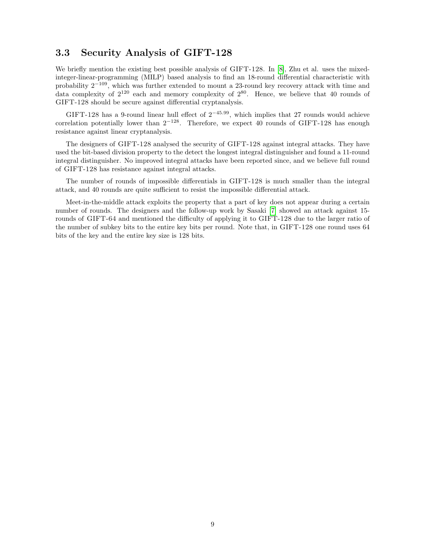#### <span id="page-9-0"></span>3.3 Security Analysis of GIFT-128

We briefly mention the existing best possible analysis of GIFT-128. In [\[8\]](#page-11-4), Zhu et al. uses the mixedinteger-linear-programming (MILP) based analysis to find an 18-round differential characteristic with probability  $2^{-109}$ , which was further extended to mount a 23-round key recovery attack with time and data complexity of  $2^{120}$  each and memory complexity of  $2^{80}$ . Hence, we believe that 40 rounds of GIFT-128 should be secure against differential cryptanalysis.

GIFT-128 has a 9-round linear hull effect of  $2^{-45.99}$ , which implies that 27 rounds would achieve correlation potentially lower than  $2^{-128}$ . Therefore, we expect 40 rounds of GIFT-128 has enough resistance against linear cryptanalysis.

The designers of GIFT-128 analysed the security of GIFT-128 against integral attacks. They have used the bit-based division property to the detect the longest integral distinguisher and found a 11-round integral distinguisher. No improved integral attacks have been reported since, and we believe full round of GIFT-128 has resistance against integral attacks.

The number of rounds of impossible differentials in GIFT-128 is much smaller than the integral attack, and 40 rounds are quite sufficient to resist the impossible differential attack.

Meet-in-the-middle attack exploits the property that a part of key does not appear during a certain number of rounds. The designers and the follow-up work by Sasaki [\[7\]](#page-11-5) showed an attack against 15 rounds of GIFT-64 and mentioned the difficulty of applying it to GIFT-128 due to the larger ratio of the number of subkey bits to the entire key bits per round. Note that, in GIFT-128 one round uses 64 bits of the key and the entire key size is 128 bits.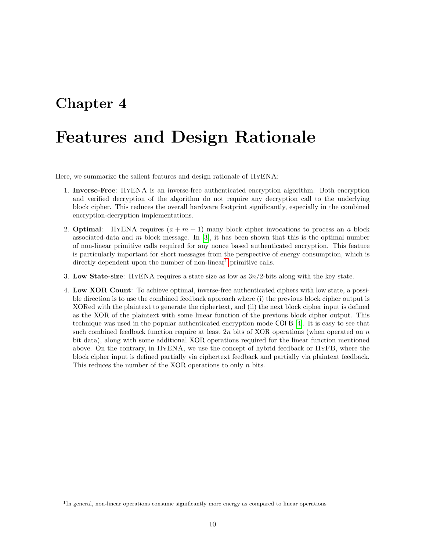## Features and Design Rationale

Here, we summarize the salient features and design rationale of HyENA:

- 1. Inverse-Free: HyENA is an inverse-free authenticated encryption algorithm. Both encryption and verified decryption of the algorithm do not require any decryption call to the underlying block cipher. This reduces the overall hardware footprint significantly, especially in the combined encryption-decryption implementations.
- 2. **Optimal:** HYENA requires  $(a + m + 1)$  many block cipher invocations to process an a block associated-data and m block message. In  $[3]$ , it has been shown that this is the optimal number of non-linear primitive calls required for any nonce based authenticated encryption. This feature is particularly important for short messages from the perspective of energy consumption, which is directly dependent upon the number of non-linear<sup>[1](#page-0-0)</sup> primitive calls.
- 3. Low State-size: HYENA requires a state size as low as  $3n/2$ -bits along with the key state.
- 4. Low XOR Count: To achieve optimal, inverse-free authenticated ciphers with low state, a possible direction is to use the combined feedback approach where (i) the previous block cipher output is XORed with the plaintext to generate the ciphertext, and (ii) the next block cipher input is defined as the XOR of the plaintext with some linear function of the previous block cipher output. This technique was used in the popular authenticated encryption mode COFB [\[4\]](#page-11-7). It is easy to see that such combined feedback function require at least  $2n$  bits of XOR operations (when operated on n bit data), along with some additional XOR operations required for the linear function mentioned above. On the contrary, in HyENA, we use the concept of hybrid feedback or HyFB, where the block cipher input is defined partially via ciphertext feedback and partially via plaintext feedback. This reduces the number of the XOR operations to only n bits.

<sup>&</sup>lt;sup>1</sup>In general, non-linear operations consume significantly more energy as compared to linear operations